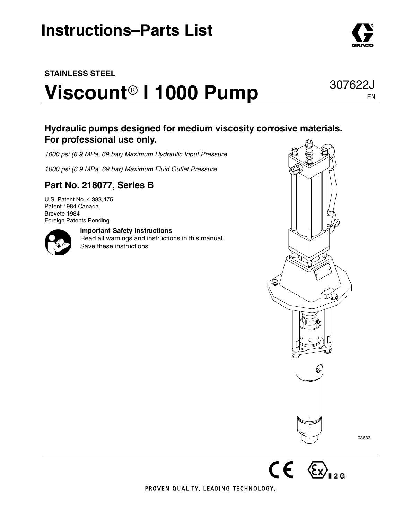### **STAINLESS STEEL**

# $V$ iscount<sup>®</sup> I 1000 Pump

### **Hydraulic pumps designed for medium viscosity corrosive materials. For professional use only.**

*1000 psi (6.9 MPa, 69 bar) Maximum Hydraulic Input Pressure*

*1000 psi (6.9 MPa, 69 bar) Maximum Fluid Outlet Pressure*

### **Part No. 218077, Series B**

U.S. Patent No. 4,383,475 Patent 1984 Canada Brevete 1984 Foreign Patents Pending



#### **Important Safety Instructions**

Read all warnings and instructions in this manual. Save these instructions.



 $CE \otimes_{\square_{2} G}$ 

03833

PROVEN QUALITY, LEADING TECHNOLOGY,



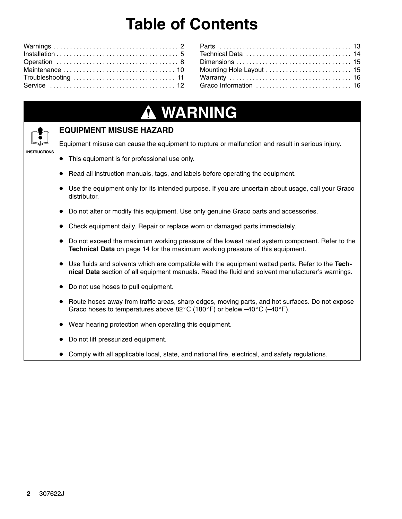## **Table of Contents**

| Graco Information  16 |  |
|-----------------------|--|
|                       |  |

### **WARNING A**

#### **EQUIPMENT MISUSE HAZARD**

Equipment misuse can cause the equipment to rupture or malfunction and result in serious injury.

- This equipment is for professional use only.
- Read all instruction manuals, tags, and labels before operating the equipment.
- $\bullet$  Use the equipment only for its intended purpose. If you are uncertain about usage, call your Graco distributor.
- Do not alter or modify this equipment. Use only genuine Graco parts and accessories.
- Check equipment daily. Repair or replace worn or damaged parts immediately.
- Do not exceed the maximum working pressure of the lowest rated system component. Refer to the **Technical Data** on page 14 for the maximum working pressure of this equipment.
- Use fluids and solvents which are compatible with the equipment wetted parts. Refer to the **Technical Data** section of all equipment manuals. Read the fluid and solvent manufacturer's warnings.
- Do not use hoses to pull equipment.
- Route hoses away from traffic areas, sharp edges, moving parts, and hot surfaces. Do not expose Graco hoses to temperatures above 82 $^{\circ}$ C (180 $^{\circ}$ F) or below  $-40^{\circ}$ C (-40 $^{\circ}$ F).
- Wear hearing protection when operating this equipment.
- Do not lift pressurized equipment.
- Comply with all applicable local, state, and national fire, electrical, and safety regulations.

**INSTRUCTIONS**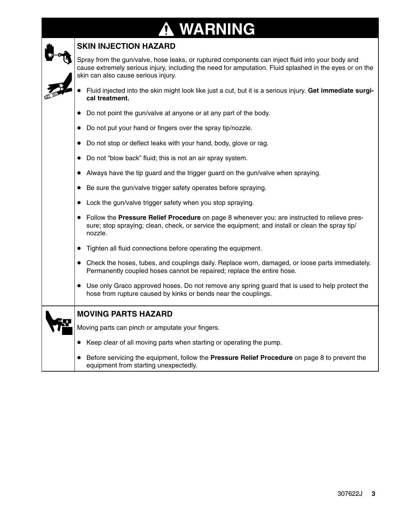### **WARNING A**

| <b>SKIN INJECTION HAZARD</b> |
|------------------------------|
|------------------------------|

Spray from the gun/valve, hose leaks, or ruptured components can inject fluid into your body and cause extremely serious injury, including the need for amputation. Fluid splashed in the eyes or on the skin can also cause serious injury.

- $\bullet$  Fluid injected into the skin might look like just a cut, but it is a serious injury. **Get immediate surgical treatment.**
- $\bullet$ Do not point the gun/valve at anyone or at any part of the body.
- $\bullet$ Do not put your hand or fingers over the spray tip/nozzle.
- $\bullet$ Do not stop or deflect leaks with your hand, body, glove or rag.
- $\bullet$ Do not "blow back" fluid; this is not an air spray system.
- $\bullet$ Always have the tip guard and the trigger guard on the gun/valve when spraying.
- $\bullet$ Be sure the gun/valve trigger safety operates before spraying.
- $\bullet$ Lock the gun/valve trigger safety when you stop spraying.
- $\bullet$  Follow the **Pressure Relief Procedure** on page 8 whenever you: are instructed to relieve pressure; stop spraying; clean, check, or service the equipment; and install or clean the spray tip/ nozzle.
- $\bullet$ Tighten all fluid connections before operating the equipment.
- $\bullet$  Check the hoses, tubes, and couplings daily. Replace worn, damaged, or loose parts immediately. Permanently coupled hoses cannot be repaired; replace the entire hose.
- Use only Graco approved hoses. Do not remove any spring guard that is used to help protect the hose from rupture caused by kinks or bends near the couplings.

| <b>MOVING PARTS HAZARD</b> |  |
|----------------------------|--|
|                            |  |

Moving parts can pinch or amputate your fingers.

- $\bullet$ Keep clear of all moving parts when starting or operating the pump.
- $\bullet$  Before servicing the equipment, follow the **Pressure Relief Procedure** on page 8 to prevent the equipment from starting unexpectedly.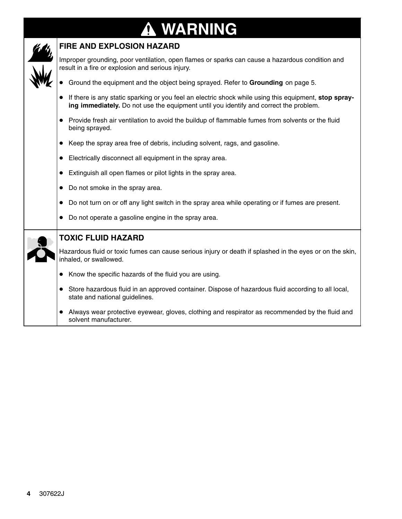### **WARNING** T



### **FIRE AND EXPLOSION HAZARD**

Improper grounding, poor ventilation, open flames or sparks can cause a hazardous condition and result in a fire or explosion and serious injury.

- $\bullet$ Ground the equipment and the object being sprayed. Refer to **Grounding** on page 5.
- If there is any static sparking or you feel an electric shock while using this equipment, **stop spraying immediately.** Do not use the equipment until you identify and correct the problem.
- Provide fresh air ventilation to avoid the buildup of flammable fumes from solvents or the fluid being sprayed.
- Keep the spray area free of debris, including solvent, rags, and gasoline.
- Electrically disconnect all equipment in the spray area.
- Extinguish all open flames or pilot lights in the spray area.
- Do not smoke in the spray area.
- $\bullet$ Do not turn on or off any light switch in the spray area while operating or if fumes are present.
- Do not operate a gasoline engine in the spray area.

|--|

#### **TOXIC FLUID HAZARD**

Hazardous fluid or toxic fumes can cause serious injury or death if splashed in the eyes or on the skin, inhaled, or swallowed.

- Know the specific hazards of the fluid you are using.
- $\bullet$  Store hazardous fluid in an approved container. Dispose of hazardous fluid according to all local, state and national guidelines.
- Always wear protective eyewear, gloves, clothing and respirator as recommended by the fluid and solvent manufacturer.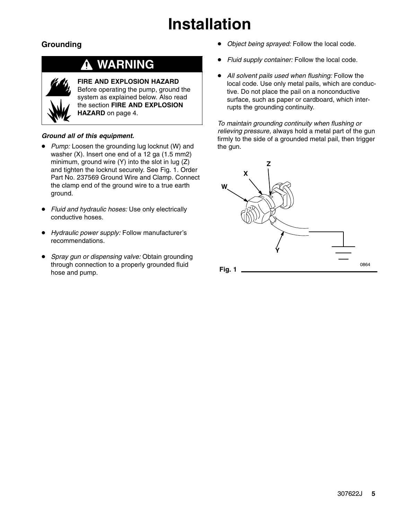## **Installation**

### **Grounding**

### **WARNING**



**FIRE AND EXPLOSION HAZARD** Before operating the pump, ground the system as explained below. Also read the section **FIRE AND EXPLOSION HAZARD** on page 4.

#### *Ground all of this equipment.*

- *Pump:* Loosen the grounding lug locknut (W) and washer (X). Insert one end of a 12 ga (1.5 mm2) minimum, ground wire (Y) into the slot in lug (Z) and tighten the locknut securely. See Fig. 1. Order Part No. 237569 Ground Wire and Clamp. Connect the clamp end of the ground wire to a true earth ground.
- $\bullet$  *Fluid and hydraulic hoses:* Use only electrically conductive hoses.
- *Hydraulic power supply:* Follow manufacturer's recommendations.
- *Spray gun or dispensing valve:* Obtain grounding through connection to a properly grounded fluid hose and pump.
- $\bullet$ *Object being sprayed:* Follow the local code.
- $\bullet$ *Fluid supply container:* Follow the local code.
- $\bullet$  *All solvent pails used when flushing:* Follow the local code. Use only metal pails, which are conductive. Do not place the pail on a nonconductive surface, such as paper or cardboard, which interrupts the grounding continuity.

*To maintain grounding continuity when flushing or relieving pressure,* always hold a metal part of the gun firmly to the side of a grounded metal pail, then trigger the gun.

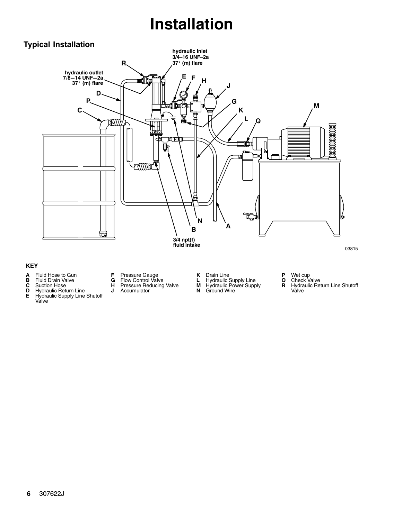## **Installation**

### **Typical Installation**



#### **KEY**

- **A** Fluid Hose to Gun **B** Fluid Drain Valve
- 
- 
- **C** Suction Hose<br>**D** Hydraulic Retu<br>**E** Hydraulic Sup **Hydraulic Return Line E** Hydraulic Supply Line Shutoff Valve
- **F** Pressure Gauge **G** Flow Control Valve

**H** Pressure Reducing Valve<br>**J** Accumulator **J** Accumulator

- 
- **K** Drain Line **L** Hydraulic Supply Line **M** Hydraulic Power Supply

**N** Ground Wire

- 
- 
- **P** Wet cup **Q** Check Valve
- **R** Hydraulic Return Line Shutoff Valve

- 
- 

 $6\phantom{a}$ 6 307622J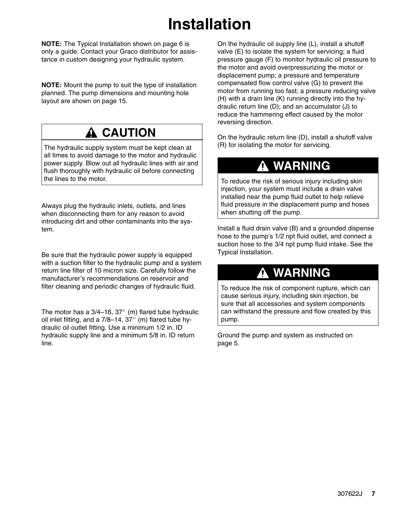## **Installation**

**NOTE:** The Typical Installation shown on page 6 is only a guide. Contact your Graco distributor for assistance in custom designing your hydraulic system.

**NOTE:** Mount the pump to suit the type of installation planned. The pump dimensions and mounting hole layout are shown on page 15.

### **A CAUTION**

The hydraulic supply system must be kept clean at all times to avoid damage to the motor and hydraulic power supply. Blow out all hydraulic lines with air and flush thoroughly with hydraulic oil before connecting the lines to the motor.

Always plug the hydraulic inlets, outlets, and lines when disconnecting them for any reason to avoid introducing dirt and other contaminants into the system.

Be sure that the hydraulic power supply is equipped with a suction filter to the hydraulic pump and a system return line filter of 10 micron size. Carefully follow the manufacturer's recommendations on reservoir and filter cleaning and periodic changes of hydraulic fluid.

The motor has a  $3/4-16$ ,  $37^{\circ}$  (m) flared tube hydraulic oil inlet fitting, and a  $7/8-14$ ,  $37^{\circ}$  (m) flared tube hydraulic oil outlet fitting. Use a minimum 1/2 in. ID hydraulic supply line and a minimum 5/8 in. ID return line.

On the hydraulic oil supply line (L), install a shutoff valve (E) to isolate the system for servicing; a fluid pressure gauge (F) to monitor hydraulic oil pressure to the motor and avoid overpressurizing the motor or displacement pump; a pressure and temperature compensated flow control valve (G) to prevent the motor from running too fast; a pressure reducing valve (H) with a drain line (K) running directly into the hydraulic return line (D); and an accumulator (J) to reduce the hammering effect caused by the motor reversing direction.

On the hydraulic return line (D), install a shutoff valve (R) for isolating the motor for servicing.

### **WARNING**

To reduce the risk of serious injury including skin injection, your system must include a drain valve installed near the pump fluid outlet to help relieve fluid pressure in the displacement pump and hoses when shutting off the pump.

Install a fluid drain valve (B) and a grounded dispense hose to the pump's 1/2 npt fluid outlet, and connect a suction hose to the 3/4 npt pump fluid intake. See the Typical Installation.

### **WARNING**

To reduce the risk of component rupture, which can cause serious injury, including skin injection, be sure that all accessories and system components can withstand the pressure and flow created by this pump.

Ground the pump and system as instructed on page 5.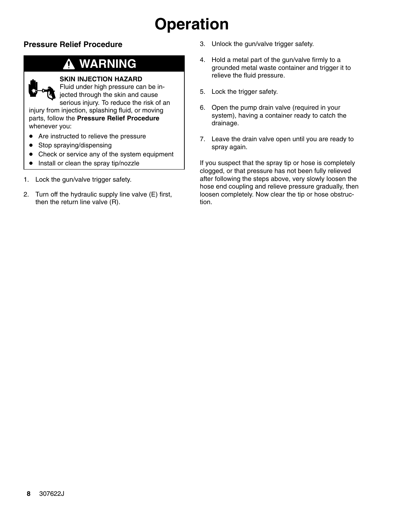## **Operation**

### **Pressure Relief Procedure**

### **WARNING**



#### **SKIN INJECTION HAZARD**

Fluid under high pressure can be injected through the skin and cause serious injury. To reduce the risk of an injury from injection, splashing fluid, or moving parts, follow the **Pressure Relief Procedure** whenever you:

- $\bullet$ Are instructed to relieve the pressure
- $\bullet$ Stop spraying/dispensing
- $\bullet$ Check or service any of the system equipment
- $\bullet$ Install or clean the spray tip/nozzle
- 1. Lock the gun/valve trigger safety.
- 2. Turn off the hydraulic supply line valve (E) first, then the return line valve (R).
- 3. Unlock the gun/valve trigger safety.
- 4. Hold a metal part of the gun/valve firmly to a grounded metal waste container and trigger it to relieve the fluid pressure.
- 5. Lock the trigger safety.
- 6. Open the pump drain valve (required in your system), having a container ready to catch the drainage.
- 7. Leave the drain valve open until you are ready to spray again.

If you suspect that the spray tip or hose is completely clogged, or that pressure has not been fully relieved after following the steps above, very slowly loosen the hose end coupling and relieve pressure gradually, then loosen completely. Now clear the tip or hose obstruction.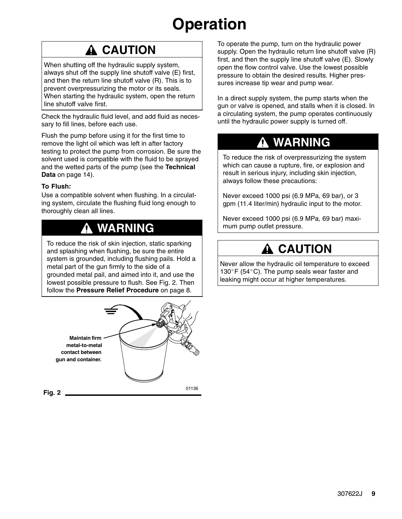## **Operation**

### **A CAUTION**

When shutting off the hydraulic supply system, always shut off the supply line shutoff valve (E) first, and then the return line shutoff valve (R). This is to prevent overpressurizing the motor or its seals. When starting the hydraulic system, open the return line shutoff valve first.

Check the hydraulic fluid level, and add fluid as necessary to fill lines, before each use.

Flush the pump before using it for the first time to remove the light oil which was left in after factory testing to protect the pump from corrosion. Be sure the solvent used is compatible with the fluid to be sprayed and the wetted parts of the pump (see the **Technical Data** on page 14).

#### **To Flush:**

Use a compatible solvent when flushing. In a circulating system, circulate the flushing fluid long enough to thoroughly clean all lines.

### **WARNING**

To reduce the risk of skin injection, static sparking and splashing when flushing, be sure the entire system is grounded, including flushing pails. Hold a metal part of the gun firmly to the side of a grounded metal pail, and aimed into it, and use the lowest possible pressure to flush. See Fig. 2. Then follow the **Pressure Relief Procedure** on page 8.



To operate the pump, turn on the hydraulic power supply. Open the hydraulic return line shutoff valve (R) first, and then the supply line shutoff valve (E). Slowly open the flow control valve. Use the lowest possible pressure to obtain the desired results. Higher pressures increase tip wear and pump wear.

In a direct supply system, the pump starts when the gun or valve is opened, and stalls when it is closed. In a circulating system, the pump operates continuously until the hydraulic power supply is turned off.

### **WARNING**

To reduce the risk of overpressurizing the system which can cause a rupture, fire, or explosion and result in serious injury, including skin injection, always follow these precautions:

Never exceed 1000 psi (6.9 MPa, 69 bar), or 3 gpm (11.4 liter/min) hydraulic input to the motor.

Never exceed 1000 psi (6.9 MPa, 69 bar) maximum pump outlet pressure.

### **CAUTION**

Never allow the hydraulic oil temperature to exceed 130°F (54°C). The pump seals wear faster and leaking might occur at higher temperatures.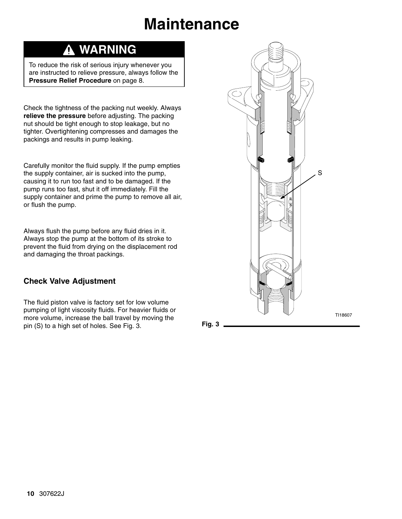## **Maintenance**

### **WARNING**

To reduce the risk of serious injury whenever you are instructed to relieve pressure, always follow the **Pressure Relief Procedure** on page 8.

Check the tightness of the packing nut weekly. Always **relieve the pressure** before adjusting. The packing nut should be tight enough to stop leakage, but no tighter. Overtightening compresses and damages the packings and results in pump leaking.

Carefully monitor the fluid supply. If the pump empties the supply container, air is sucked into the pump, causing it to run too fast and to be damaged. If the pump runs too fast, shut it off immediately. Fill the supply container and prime the pump to remove all air, or flush the pump.

Always flush the pump before any fluid dries in it. Always stop the pump at the bottom of its stroke to prevent the fluid from drying on the displacement rod and damaging the throat packings.

### **Check Valve Adjustment**

The fluid piston valve is factory set for low volume pumping of light viscosity fluids. For heavier fluids or more volume, increase the ball travel by moving the pin  $(S)$  to a high set of holes. See Fig. 3. **Fig. 3** 

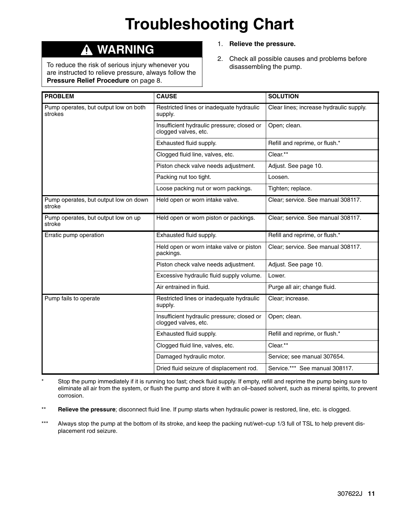## **Troubleshooting Chart**

#### **WARNING** Δ

To reduce the risk of serious injury whenever you are instructed to relieve pressure, always follow the **Pressure Relief Procedure** on page 8.

- 1. **Relieve the pressure.**
- 2. Check all possible causes and problems before disassembling the pump.

| <b>PROBLEM</b>                                   | <b>CAUSE</b>                                                       | <b>SOLUTION</b>                         |
|--------------------------------------------------|--------------------------------------------------------------------|-----------------------------------------|
| Pump operates, but output low on both<br>strokes | Restricted lines or inadequate hydraulic<br>supply.                | Clear lines; increase hydraulic supply. |
|                                                  | Insufficient hydraulic pressure; closed or<br>clogged valves, etc. | Open; clean.                            |
|                                                  | Exhausted fluid supply.                                            | Refill and reprime, or flush.*          |
|                                                  | Clogged fluid line, valves, etc.                                   | Clear.**                                |
|                                                  | Piston check valve needs adjustment.                               | Adjust. See page 10.                    |
|                                                  | Packing nut too tight.                                             | Loosen.                                 |
|                                                  | Loose packing nut or worn packings.                                | Tighten; replace.                       |
| Pump operates, but output low on down<br>stroke  | Held open or worn intake valve.                                    | Clear; service. See manual 308117.      |
| Pump operates, but output low on up<br>stroke    | Held open or worn piston or packings.                              | Clear; service. See manual 308117.      |
| Erratic pump operation                           | Exhausted fluid supply.                                            | Refill and reprime, or flush.*          |
|                                                  | Held open or worn intake valve or piston<br>packings.              | Clear; service. See manual 308117.      |
|                                                  | Piston check valve needs adjustment.                               | Adjust. See page 10.                    |
|                                                  | Excessive hydraulic fluid supply volume.                           | Lower.                                  |
|                                                  | Air entrained in fluid.                                            | Purge all air; change fluid.            |
| Pump fails to operate                            | Restricted lines or inadequate hydraulic<br>supply.                | Clear; increase.                        |
|                                                  | Insufficient hydraulic pressure; closed or<br>clogged valves, etc. | Open; clean.                            |
|                                                  | Exhausted fluid supply.                                            | Refill and reprime, or flush.*          |
|                                                  | Clogged fluid line, valves, etc.                                   | Clear.**                                |
|                                                  | Damaged hydraulic motor.                                           | Service; see manual 307654.             |
|                                                  | Dried fluid seizure of displacement rod.                           | Service.*** See manual 308117.          |

Stop the pump immediately if it is running too fast; check fluid supply. If empty, refill and reprime the pump being sure to eliminate all air from the system, or flush the pump and store it with an oil–based solvent, such as mineral spirits, to prevent corrosion.

- \*\* **Relieve the pressure**; disconnect fluid line. If pump starts when hydraulic power is restored, line, etc. is clogged.
- \*\*\* Always stop the pump at the bottom of its stroke, and keep the packing nut/wet–cup 1/3 full of TSL to help prevent displacement rod seizure.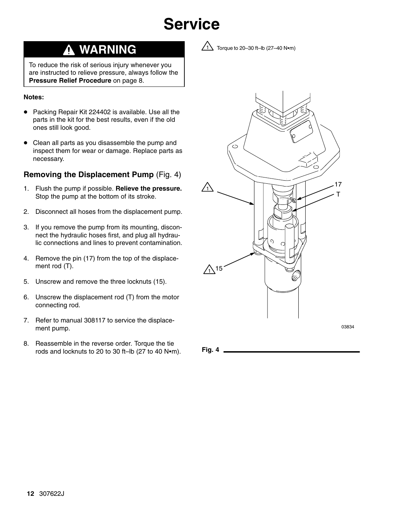## **Service**

### **WARNING**

To reduce the risk of serious injury whenever you are instructed to relieve pressure, always follow the **Pressure Relief Procedure** on page 8.

#### **Notes:**

- Packing Repair Kit 224402 is available. Use all the parts in the kit for the best results, even if the old ones still look good.
- $\bullet$  Clean all parts as you disassemble the pump and inspect them for wear or damage. Replace parts as necessary.

#### **Removing the Displacement Pump** (Fig. 4)

- 1. Flush the pump if possible. **Relieve the pressure.** Stop the pump at the bottom of its stroke.
- 2. Disconnect all hoses from the displacement pump.
- 3. If you remove the pump from its mounting, disconnect the hydraulic hoses first, and plug all hydraulic connections and lines to prevent contamination.
- 4. Remove the pin (17) from the top of the displacement rod (T).
- 5. Unscrew and remove the three locknuts (15).
- 6. Unscrew the displacement rod (T) from the motor connecting rod.
- 7. Refer to manual 308117 to service the displacement pump.
- 8. Reassemble in the reverse order. Torque the tie rods and locknuts to 20 to 30 ft–lb  $(27 \text{ to } 40 \text{ N}\cdot\text{m})$ . **Fig. 4**



 $\sqrt{1}$  Torque to 20–30 ft–lb (27–40 N•m)

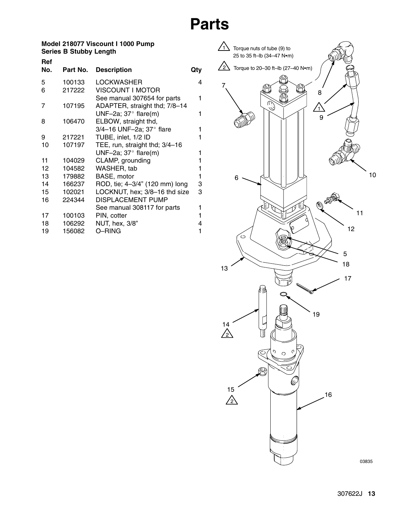### **Parts**

#### **Model 218077 Viscount I 1000 Pump Series B Stubby Length**

| Ref |          |                                |     |
|-----|----------|--------------------------------|-----|
| No. | Part No. | <b>Description</b>             | Qty |
| 5   | 100133   | <b>LOCKWASHER</b>              | 4   |
| 6   | 217222   | <b>VISCOUNT I MOTOR</b>        |     |
|     |          | See manual 307654 for parts    | 1   |
| 7   | 107195   | ADAPTER, straight thd; 7/8-14  |     |
|     |          | UNF-2a; $37^\circ$ flare(m)    | 1   |
| 8   | 106470   | ELBOW, straight thd,           |     |
|     |          | 3/4-16 UNF-2a; 37° flare       | 1   |
| 9   | 217221   | TUBE, inlet, 1/2 ID            | 1   |
| 10  | 107197   | TEE, run, straight thd; 3/4-16 |     |
|     |          | UNF-2a; $37^\circ$ flare(m)    | 1   |
| 11  | 104029   | CLAMP, grounding               | 1   |
| 12  | 104582   | WASHER, tab                    | 1   |
| 13  | 179882   | BASE, motor                    | 1   |
| 14  | 166237   | ROD, tie; 4-3/4" (120 mm) long | 3   |
| 15  | 102021   | LOCKNUT, hex; 3/8-16 thd size  | 3   |
| 16  | 224344   | <b>DISPLACEMENT PUMP</b>       |     |
|     |          | See manual 308117 for parts    | 1   |
| 17  | 100103   | PIN, cotter                    | 1   |
| 18  | 106292   | NUT, hex, 3/8"                 | 4   |
| 19  | 156082   | O-RING                         | 1   |

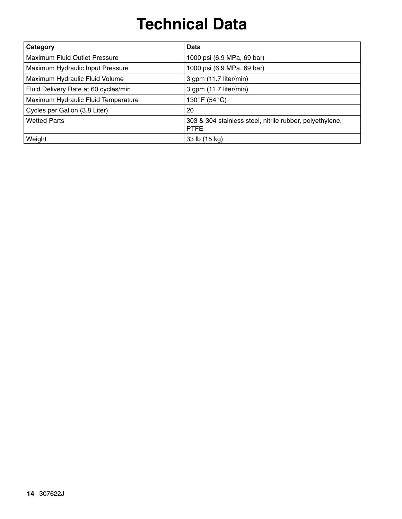## **Technical Data**

| Category                             | Data                                                                    |
|--------------------------------------|-------------------------------------------------------------------------|
| Maximum Fluid Outlet Pressure        | 1000 psi (6.9 MPa, 69 bar)                                              |
| Maximum Hydraulic Input Pressure     | 1000 psi (6.9 MPa, 69 bar)                                              |
| Maximum Hydraulic Fluid Volume       | 3 gpm (11.7 liter/min)                                                  |
| Fluid Delivery Rate at 60 cycles/min | 3 gpm (11.7 liter/min)                                                  |
| Maximum Hydraulic Fluid Temperature  | 130°F (54°C)                                                            |
| Cycles per Gallon (3.8 Liter)        | 20                                                                      |
| <b>Wetted Parts</b>                  | 303 & 304 stainless steel, nitrile rubber, polyethylene,<br><b>PTFE</b> |
| Weight                               | 33 lb (15 kg)                                                           |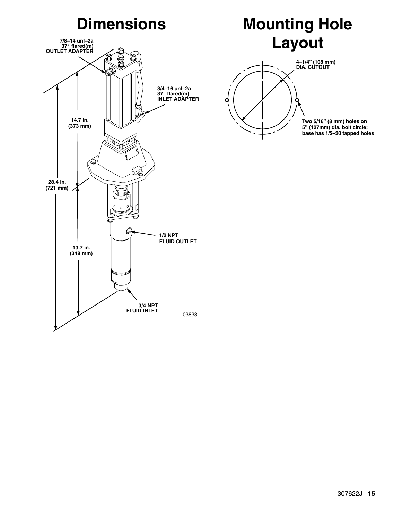## **Dimensions**

## **7/8–14 unf–2a 37 flared(m) OUTLET ADAPTER 3/4–16 unf–2a 37 flared(m) INLET ADAPTER** 14.7 in. (373 mm)  $\bm{\Theta}$ 28.4 in. (721 mm) 6 **1/2 NPT FLUID OUTLET** 13.7 in.  $(348 \text{ mm})$ 3/4 NPT<br>FLUID INLET 03833